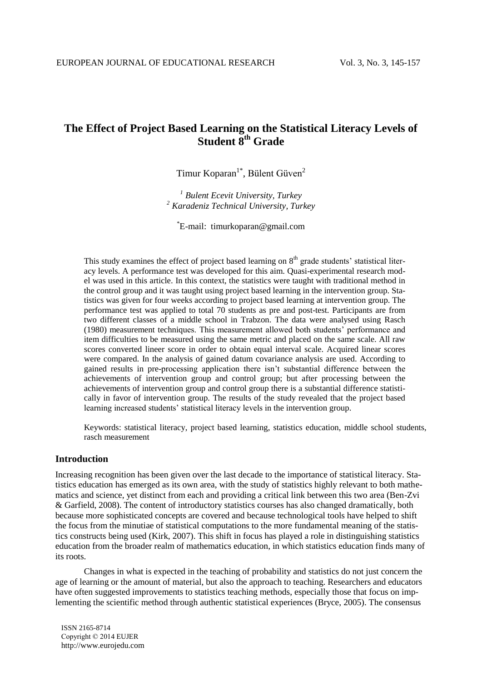# **The Effect of Project Based Learning on the Statistical Literacy Levels of Student 8th Grade**

Timur Koparan<sup>1\*</sup>, Bülent Güven<sup>2</sup>

*<sup>1</sup> Bulent Ecevit University, Turkey <sup>2</sup> Karadeniz Technical University, Turkey*

\*E-mail: timurkoparan@gmail.com

This study examines the effect of project based learning on  $8<sup>th</sup>$  grade students' statistical literacy levels. A performance test was developed for this aim. Quasi-experimental research model was used in this article. In this context, the statistics were taught with traditional method in the control group and it was taught using project based learning in the intervention group. Statistics was given for four weeks according to project based learning at intervention group. The performance test was applied to total 70 students as pre and post-test. Participants are from two different classes of a middle school in Trabzon. The data were analysed using Rasch (1980) measurement techniques. This measurement allowed both students' performance and item difficulties to be measured using the same metric and placed on the same scale. All raw scores converted lineer score in order to obtain equal interval scale. Acquired linear scores were compared. In the analysis of gained datum covariance analysis are used. According to gained results in pre-processing application there isn't substantial difference between the achievements of intervention group and control group; but after processing between the achievements of intervention group and control group there is a substantial difference statistically in favor of intervention group. The results of the study revealed that the project based learning increased students' statistical literacy levels in the intervention group.

Keywords: statistical literacy, project based learning, statistics education, middle school students, rasch measurement

## **Introduction**

Increasing recognition has been given over the last decade to the importance of statistical literacy. Statistics education has emerged as its own area, with the study of statistics highly relevant to both mathematics and science, yet distinct from each and providing a critical link between this two area (Ben-Zvi & Garfield, 2008). The content of introductory statistics courses has also changed dramatically, both because more sophisticated concepts are covered and because technological tools have helped to shift the focus from the minutiae of statistical computations to the more fundamental meaning of the statistics constructs being used (Kirk, 2007). This shift in focus has played a role in distinguishing statistics education from the broader realm of mathematics education, in which statistics education finds many of its roots.

Changes in what is expected in the teaching of probability and statistics do not just concern the age of learning or the amount of material, but also the approach to teaching. Researchers and educators have often suggested improvements to statistics teaching methods, especially those that focus on implementing the scientific method through authentic statistical experiences (Bryce, 2005). The consensus

ISSN 2165-8714 Copyright © 2014 EUJER http://www.eurojedu.com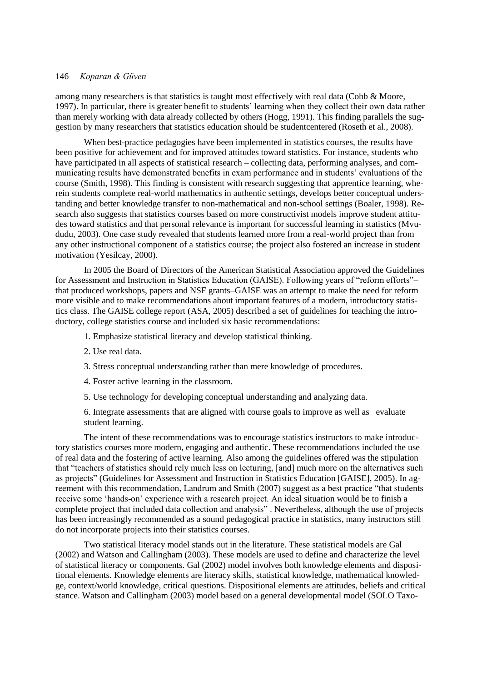among many researchers is that statistics is taught most effectively with real data (Cobb & Moore, 1997). In particular, there is greater benefit to students' learning when they collect their own data rather than merely working with data already collected by others (Hogg, 1991). This finding parallels the suggestion by many researchers that statistics education should be studentcentered (Roseth et al., 2008).

When best-practice pedagogies have been implemented in statistics courses, the results have been positive for achievement and for improved attitudes toward statistics. For instance, students who have participated in all aspects of statistical research – collecting data, performing analyses, and communicating results have demonstrated benefits in exam performance and in students' evaluations of the course (Smith, 1998). This finding is consistent with research suggesting that apprentice learning, wherein students complete real-world mathematics in authentic settings, develops better conceptual understanding and better knowledge transfer to non-mathematical and non-school settings (Boaler, 1998). Research also suggests that statistics courses based on more constructivist models improve student attitudes toward statistics and that personal relevance is important for successful learning in statistics (Mvududu, 2003). One case study revealed that students learned more from a real-world project than from any other instructional component of a statistics course; the project also fostered an increase in student motivation (Yesilcay, 2000).

In 2005 the Board of Directors of the American Statistical Association approved the Guidelines for Assessment and Instruction in Statistics Education (GAISE). Following years of "reform efforts"– that produced workshops, papers and NSF grants–GAISE was an attempt to make the need for reform more visible and to make recommendations about important features of a modern, introductory statistics class. The GAISE college report (ASA, 2005) described a set of guidelines for teaching the introductory, college statistics course and included six basic recommendations:

- 1. Emphasize statistical literacy and develop statistical thinking.
- 2. Use real data.
- 3. Stress conceptual understanding rather than mere knowledge of procedures.
- 4. Foster active learning in the classroom.
- 5. Use technology for developing conceptual understanding and analyzing data.

6. Integrate assessments that are aligned with course goals to improve as well as evaluate student learning.

The intent of these recommendations was to encourage statistics instructors to make introductory statistics courses more modern, engaging and authentic. These recommendations included the use of real data and the fostering of active learning. Also among the guidelines offered was the stipulation that "teachers of statistics should rely much less on lecturing, [and] much more on the alternatives such as projects" (Guidelines for Assessment and Instruction in Statistics Education [GAISE], 2005). In agreement with this recommendation, Landrum and Smith (2007) suggest as a best practice "that students receive some 'hands-on' experience with a research project. An ideal situation would be to finish a complete project that included data collection and analysis" . Nevertheless, although the use of projects has been increasingly recommended as a sound pedagogical practice in statistics, many instructors still do not incorporate projects into their statistics courses.

Two statistical literacy model stands out in the literature. These statistical models are Gal (2002) and Watson and Callingham (2003). These models are used to define and characterize the level of statistical literacy or components. Gal (2002) model involves both knowledge elements and dispositional elements. Knowledge elements are literacy skills, statistical knowledge, mathematical knowledge, context/world knowledge, critical questions. Dispositional elements are attitudes, beliefs and critical stance. Watson and Callingham (2003) model based on a general developmental model (SOLO Taxo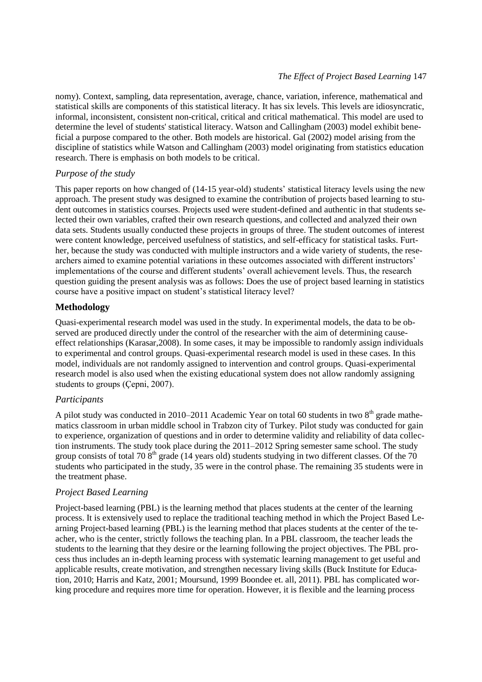nomy). Context, sampling, data representation, average, chance, variation, inference, mathematical and statistical skills are components of this statistical literacy. It has six levels. This levels are idiosyncratic, informal, inconsistent, consistent non-critical, critical and critical mathematical. This model are used to determine the level of students' statistical literacy. Watson and Callingham (2003) model exhibit beneficial a purpose compared to the other. Both models are historical. Gal (2002) model arising from the discipline of statistics while Watson and Callingham (2003) model originating from statistics education research. There is emphasis on both models to be critical.

## *Purpose of the study*

This paper reports on how changed of (14-15 year-old) students' statistical literacy levels using the new approach. The present study was designed to examine the contribution of projects based learning to student outcomes in statistics courses. Projects used were student-defined and authentic in that students selected their own variables, crafted their own research questions, and collected and analyzed their own data sets. Students usually conducted these projects in groups of three. The student outcomes of interest were content knowledge, perceived usefulness of statistics, and self-efficacy for statistical tasks. Further, because the study was conducted with multiple instructors and a wide variety of students, the researchers aimed to examine potential variations in these outcomes associated with different instructors' implementations of the course and different students' overall achievement levels. Thus, the research question guiding the present analysis was as follows: Does the use of project based learning in statistics course have a positive impact on student's statistical literacy level?

## **Methodology**

Quasi-experimental research model was used in the study. In experimental models, the data to be observed are produced directly under the control of the researcher with the aim of determining causeeffect relationships (Karasar,2008). In some cases, it may be impossible to randomly assign individuals to experimental and control groups. Quasi-experimental research model is used in these cases. In this model, individuals are not randomly assigned to intervention and control groups. Quasi-experimental research model is also used when the existing educational system does not allow randomly assigning students to groups (Çepni, 2007).

## *Participants*

A pilot study was conducted in 2010–2011 Academic Year on total 60 students in two  $8<sup>th</sup>$  grade mathematics classroom in urban middle school in Trabzon city of Turkey. Pilot study was conducted for gain to experience, organization of questions and in order to determine validity and reliability of data collection instruments. The study took place during the 2011–2012 Spring semester same school. The study group consists of total 70  $8<sup>th</sup>$  grade (14 years old) students studying in two different classes. Of the 70 students who participated in the study, 35 were in the control phase. The remaining 35 students were in the treatment phase.

## *Project Based Learning*

Project-based learning (PBL) is the learning method that places students at the center of the learning process. It is extensively used to replace the traditional teaching method in which the Project Based Learning Project-based learning (PBL) is the learning method that places students at the center of the teacher, who is the center, strictly follows the teaching plan. In a PBL classroom, the teacher leads the students to the learning that they desire or the learning following the project objectives. The PBL process thus includes an in-depth learning process with systematic learning management to get useful and applicable results, create motivation, and strengthen necessary living skills (Buck Institute for Education, 2010; Harris and Katz, 2001; Moursund, 1999 Boondee et. all, 2011). PBL has complicated working procedure and requires more time for operation. However, it is flexible and the learning process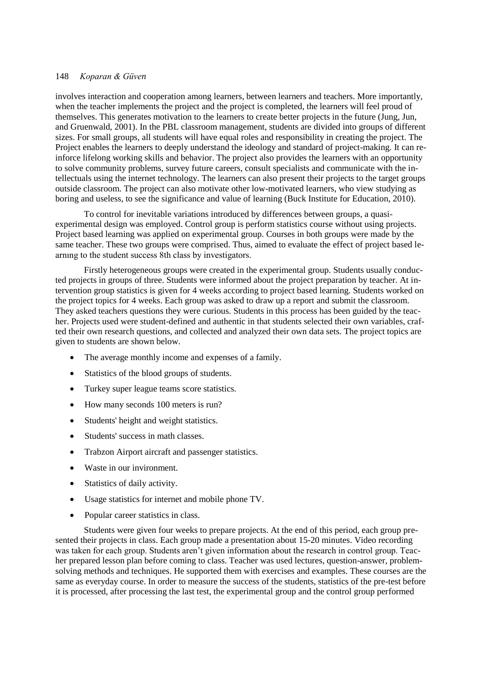involves interaction and cooperation among learners, between learners and teachers. More importantly, when the teacher implements the project and the project is completed, the learners will feel proud of themselves. This generates motivation to the learners to create better projects in the future (Jung, Jun, and Gruenwald, 2001). In the PBL classroom management, students are divided into groups of different sizes. For small groups, all students will have equal roles and responsibility in creating the project. The Project enables the learners to deeply understand the ideology and standard of project-making. It can reinforce lifelong working skills and behavior. The project also provides the learners with an opportunity to solve community problems, survey future careers, consult specialists and communicate with the intellectuals using the internet technology. The learners can also present their projects to the target groups outside classroom. The project can also motivate other low-motivated learners, who view studying as boring and useless, to see the significance and value of learning (Buck Institute for Education, 2010).

To control for inevitable variations introduced by differences between groups, a quasiexperimental design was employed. Control group is perform statistics course without using projects. Project based learning was applied on experimental group. Courses in both groups were made by the same teacher. These two groups were comprised. Thus, aimed to evaluate the effect of project based learnıng to the student success 8th class by investigators.

Firstly heterogeneous groups were created in the experimental group. Students usually conducted projects in groups of three. Students were informed about the project preparation by teacher. At intervention group statistics is given for 4 weeks according to project based learning. Students worked on the project topics for 4 weeks. Each group was asked to draw up a report and submit the classroom. They asked teachers questions they were curious. Students in this process has been guided by the teacher. Projects used were student-defined and authentic in that students selected their own variables, crafted their own research questions, and collected and analyzed their own data sets. The project topics are given to students are shown below.

- The average monthly income and expenses of a family.
- Statistics of the blood groups of students.
- Turkey super league teams score statistics.
- How many seconds 100 meters is run?
- Students' height and weight statistics.
- Students' success in math classes.
- Trabzon Airport aircraft and passenger statistics.
- Waste in our invironment.
- Statistics of daily activity.
- Usage statistics for internet and mobile phone TV.
- Popular career statistics in class.

Students were given four weeks to prepare projects. At the end of this period, each group presented their projects in class. Each group made a presentation about 15-20 minutes. Video recording was taken for each group. Students aren't given information about the research in control group. Teacher prepared lesson plan before coming to class. Teacher was used lectures, question-answer, problemsolving methods and techniques. He supported them with exercises and examples. These courses are the same as everyday course. In order to measure the success of the students, statistics of the pre-test before it is processed, after processing the last test, the experimental group and the control group performed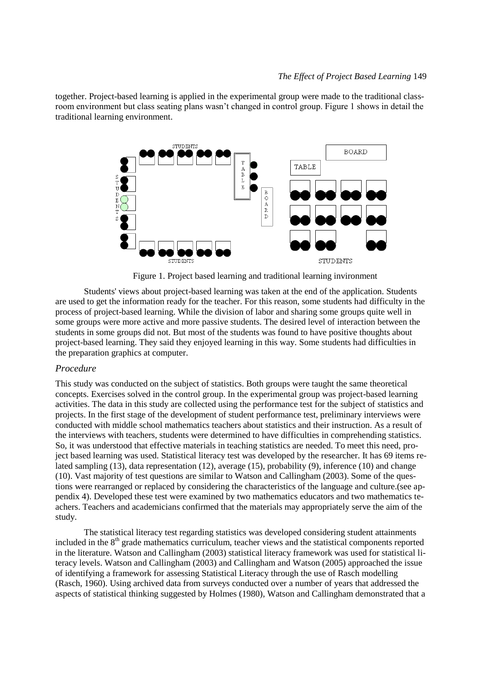together. Project-based learning is applied in the experimental group were made to the traditional classroom environment but class seating plans wasn't changed in control group. Figure 1 shows in detail the traditional learning environment.



Figure 1. Project based learning and traditional learning invironment

Students' views about project-based learning was taken at the end of the application. Students are used to get the information ready for the teacher. For this reason, some students had difficulty in the process of project-based learning. While the division of labor and sharing some groups quite well in some groups were more active and more passive students. The desired level of interaction between the students in some groups did not. But most of the students was found to have positive thoughts about project-based learning. They said they enjoyed learning in this way. Some students had difficulties in the preparation graphics at computer.

### *Procedure*

This study was conducted on the subject of statistics. Both groups were taught the same theoretical concepts. Exercises solved in the control group. In the experimental group was project-based learning activities. The data in this study are collected using the performance test for the subject of statistics and projects. In the first stage of the development of student performance test, preliminary interviews were conducted with middle school mathematics teachers about statistics and their instruction. As a result of the interviews with teachers, students were determined to have difficulties in comprehending statistics. So, it was understood that effective materials in teaching statistics are needed. To meet this need, project based learning was used. Statistical literacy test was developed by the researcher. It has 69 items related sampling (13), data representation (12), average (15), probability (9), inference (10) and change (10). Vast majority of test questions are similar to Watson and Callingham (2003). Some of the questions were rearranged or replaced by considering the characteristics of the language and culture.(see appendix 4). Developed these test were examined by two mathematics educators and two mathematics teachers. Teachers and academicians confirmed that the materials may appropriately serve the aim of the study.

The statistical literacy test regarding statistics was developed considering student attainments included in the 8<sup>th</sup> grade mathematics curriculum, teacher views and the statistical components reported in the literature. Watson and Callingham (2003) statistical literacy framework was used for statistical literacy levels. Watson and Callingham (2003) and Callingham and Watson (2005) approached the issue of identifying a framework for assessing Statistical Literacy through the use of Rasch modelling (Rasch, 1960). Using archived data from surveys conducted over a number of years that addressed the aspects of statistical thinking suggested by Holmes (1980), Watson and Callingham demonstrated that a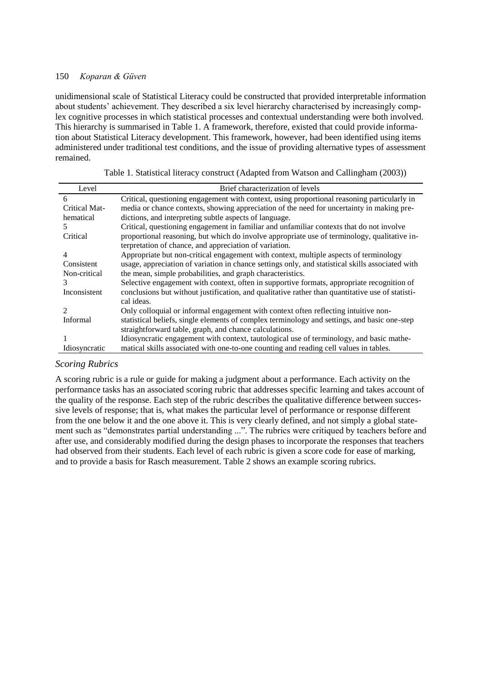unidimensional scale of Statistical Literacy could be constructed that provided interpretable information about students' achievement. They described a six level hierarchy characterised by increasingly complex cognitive processes in which statistical processes and contextual understanding were both involved. This hierarchy is summarised in Table 1. A framework, therefore, existed that could provide information about Statistical Literacy development. This framework, however, had been identified using items administered under traditional test conditions, and the issue of providing alternative types of assessment remained.

| Level                       | Brief characterization of levels                                                                 |
|-----------------------------|--------------------------------------------------------------------------------------------------|
| 6                           | Critical, questioning engagement with context, using proportional reasoning particularly in      |
| Critical Mat-               | media or chance contexts, showing appreciation of the need for uncertainty in making pre-        |
| hematical                   | dictions, and interpreting subtle aspects of language.                                           |
| 5.                          | Critical, questioning engagement in familiar and unfamiliar contexts that do not involve         |
| Critical                    | proportional reasoning, but which do involve appropriate use of terminology, qualitative in-     |
|                             | terpretation of chance, and appreciation of variation.                                           |
| 4                           | Appropriate but non-critical engagement with context, multiple aspects of terminology            |
| Consistent                  | usage, appreciation of variation in chance settings only, and statistical skills associated with |
| Non-critical                | the mean, simple probabilities, and graph characteristics.                                       |
| 3                           | Selective engagement with context, often in supportive formats, appropriate recognition of       |
| Inconsistent                | conclusions but without justification, and qualitative rather than quantitative use of statisti- |
|                             | cal ideas.                                                                                       |
| $\mathcal{D}_{\mathcal{A}}$ | Only colloquial or informal engagement with context often reflecting intuitive non-              |
| <b>Informal</b>             | statistical beliefs, single elements of complex terminology and settings, and basic one-step     |
|                             | straightforward table, graph, and chance calculations.                                           |
|                             | Idiosyncratic engagement with context, tautological use of terminology, and basic mathe-         |
| Idiosyncratic               | matical skills associated with one-to-one counting and reading cell values in tables.            |

|  |  |  |  | Table 1. Statistical literacy construct (Adapted from Watson and Callingham (2003)) |  |
|--|--|--|--|-------------------------------------------------------------------------------------|--|
|  |  |  |  |                                                                                     |  |

## *Scoring Rubrics*

A scoring rubric is a rule or guide for making a judgment about a performance. Each activity on the performance tasks has an associated scoring rubric that addresses specific learning and takes account of the quality of the response. Each step of the rubric describes the qualitative difference between successive levels of response; that is, what makes the particular level of performance or response different from the one below it and the one above it. This is very clearly defined, and not simply a global statement such as "demonstrates partial understanding ...". The rubrics were critiqued by teachers before and after use, and considerably modified during the design phases to incorporate the responses that teachers had observed from their students. Each level of each rubric is given a score code for ease of marking, and to provide a basis for Rasch measurement. Table 2 shows an example scoring rubrics.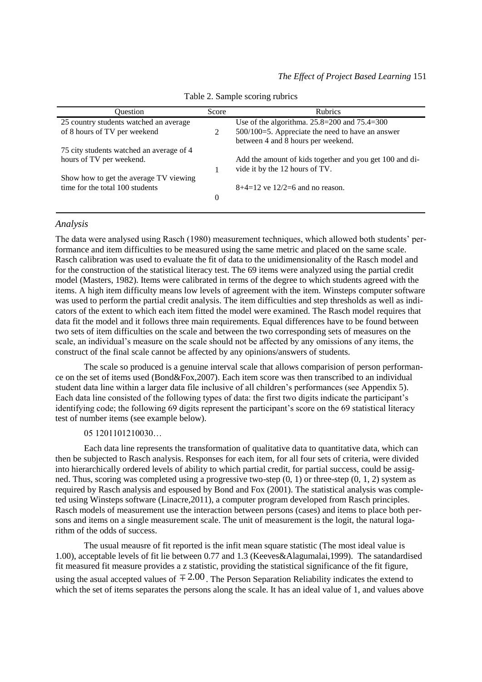| Ouestion                                 |   | <b>Rubrics</b><br>Score                                 |  |  |  |
|------------------------------------------|---|---------------------------------------------------------|--|--|--|
| 25 country students watched an average   |   | Use of the algorithma. $25.8 = 200$ and $75.4 = 300$    |  |  |  |
| of 8 hours of TV per weekend             | 2 | $500/100=5$ . Appreciate the need to have an answer     |  |  |  |
|                                          |   | between 4 and 8 hours per weekend.                      |  |  |  |
| 75 city students watched an average of 4 |   |                                                         |  |  |  |
| hours of TV per weekend.                 |   | Add the amount of kids together and you get 100 and di- |  |  |  |
|                                          |   | vide it by the 12 hours of TV.                          |  |  |  |
| Show how to get the average TV viewing   |   |                                                         |  |  |  |
| time for the total 100 students          |   | $8+4=12$ ve $12/2=6$ and no reason.                     |  |  |  |
|                                          | 0 |                                                         |  |  |  |
|                                          |   |                                                         |  |  |  |

Table 2. Sample scoring rubrics

#### *Analysis*

The data were analysed using Rasch (1980) measurement techniques, which allowed both students' performance and item difficulties to be measured using the same metric and placed on the same scale. Rasch calibration was used to evaluate the fit of data to the unidimensionality of the Rasch model and for the construction of the statistical literacy test. The 69 items were analyzed using the partial credit model (Masters, 1982). Items were calibrated in terms of the degree to which students agreed with the items. A high item difficulty means low levels of agreement with the item. Winsteps computer software was used to perform the partial credit analysis. The item difficulties and step thresholds as well as indicators of the extent to which each item fitted the model were examined. The Rasch model requires that data fit the model and it follows three main requirements. Equal differences have to be found between two sets of item difficulties on the scale and between the two corresponding sets of measures on the scale, an individual's measure on the scale should not be affected by any omissions of any items, the construct of the final scale cannot be affected by any opinions/answers of students.

The scale so produced is a genuine interval scale that allows comparision of person performance on the set of items used (Bond&Fox,2007). Each item score was then transcribed to an individual student data line within a larger data file inclusive of all children's performances (see Appendix 5). Each data line consisted of the following types of data: the first two digits indicate the participant's identifying code; the following 69 digits represent the participant's score on the 69 statistical literacy test of number items (see example below).

#### 05 1201101210030…

Each data line represents the transformation of qualitative data to quantitative data, which can then be subjected to Rasch analysis. Responses for each item, for all four sets of criteria, were divided into hierarchically ordered levels of ability to which partial credit, for partial success, could be assigned. Thus, scoring was completed using a progressive two-step  $(0, 1)$  or three-step  $(0, 1, 2)$  system as required by Rasch analysis and espoused by Bond and Fox (2001). The statistical analysis was completed using Winsteps software (Linacre,2011), a computer program developed from Rasch principles. Rasch models of measurement use the interaction between persons (cases) and items to place both persons and items on a single measurement scale. The unit of measurement is the logit, the natural logarithm of the odds of success.

The usual meausre of fit reported is the infit mean square statistic (The most ideal value is 1.00), acceptable levels of fit lie between 0.77 and 1.3 (Keeves&Alagumalai,1999). The satandardised fit measured fit measure provides a z statistic, providing the statistical significance of the fit figure, using the asual accepted values of  $\pm 2.00$ . The Person Separation Reliability indicates the extend to which the set of items separates the persons along the scale. It has an ideal value of 1, and values above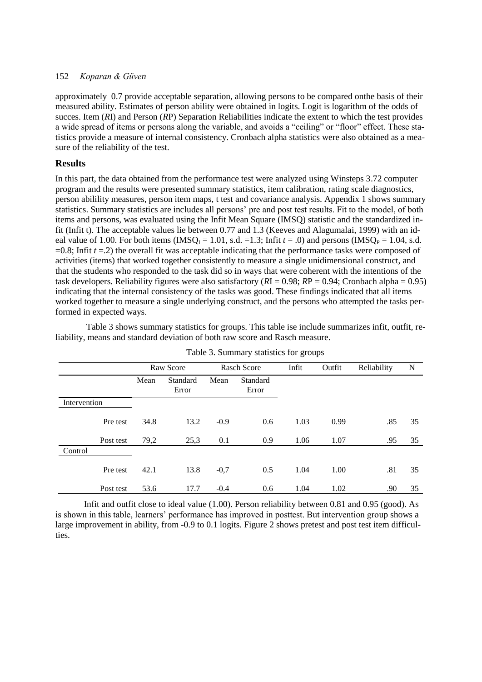approximately 0.7 provide acceptable separation, allowing persons to be compared onthe basis of their measured ability. Estimates of person ability were obtained in logits. Logit is logarithm of the odds of succes. Item (*R*I) and Person (*R*P) Separation Reliabilities indicate the extent to which the test provides a wide spread of items or persons along the variable, and avoids a "ceiling" or "floor" effect. These statistics provide a measure of internal consistency. Cronbach alpha statistics were also obtained as a measure of the reliability of the test.

## **Results**

In this part, the data obtained from the performance test were analyzed using Winsteps 3.72 computer program and the results were presented summary statistics, item calibration, rating scale diagnostics, person abilility measures, person item maps, t test and covariance analysis. Appendix 1 shows summary statistics. Summary statistics are includes all persons' pre and post test results. Fit to the model, of both items and persons, was evaluated using the Infit Mean Square (IMSQ) statistic and the standardized infit (Infit t). The acceptable values lie between 0.77 and 1.3 (Keeves and Alagumalai, 1999) with an ideal value of 1.00. For both items (IMSQ<sub>I</sub> = 1.01, s.d. =1.3; Infit  $t = .0$ ) and persons (IMSQ<sub>P</sub> = 1.04, s.d.  $=0.8$ ; Infit  $t = 2$ ) the overall fit was acceptable indicating that the performance tasks were composed of activities (items) that worked together consistently to measure a single unidimensional construct, and that the students who responded to the task did so in ways that were coherent with the intentions of the task developers. Reliability figures were also satisfactory (*R*I = 0.98; *R*P = 0.94; Cronbach alpha = 0.95) indicating that the internal consistency of the tasks was good. These findings indicated that all items worked together to measure a single underlying construct, and the persons who attempted the tasks performed in expected ways.

Table 3 shows summary statistics for groups. This table ise include summarizes infit, outfit, reliability, means and standard deviation of both raw score and Rasch measure.

|              |           | Raw Score |                   | <b>Rasch Score</b> |                   | Infit | Outfit | Reliability | N  |
|--------------|-----------|-----------|-------------------|--------------------|-------------------|-------|--------|-------------|----|
|              |           | Mean      | Standard<br>Error | Mean               | Standard<br>Error |       |        |             |    |
| Intervention |           |           |                   |                    |                   |       |        |             |    |
|              | Pre test  | 34.8      | 13.2              | $-0.9$             | 0.6               | 1.03  | 0.99   | .85         | 35 |
|              | Post test | 79,2      | 25,3              | 0.1                | 0.9               | 1.06  | 1.07   | .95         | 35 |
| Control      |           |           |                   |                    |                   |       |        |             |    |
|              | Pre test  | 42.1      | 13.8              | $-0,7$             | 0.5               | 1.04  | 1.00   | .81         | 35 |
|              | Post test | 53.6      | 17.7              | $-0.4$             | 0.6               | 1.04  | 1.02   | .90         | 35 |

| Table 3. Summary statistics for groups |  |  |
|----------------------------------------|--|--|
|                                        |  |  |

Infit and outfit close to ideal value (1.00). Person reliability between 0.81 and 0.95 (good). As is shown in this table, learners' performance has improved in posttest. But intervention group shows a large improvement in ability, from -0.9 to 0.1 logits. Figure 2 shows pretest and post test item difficulties.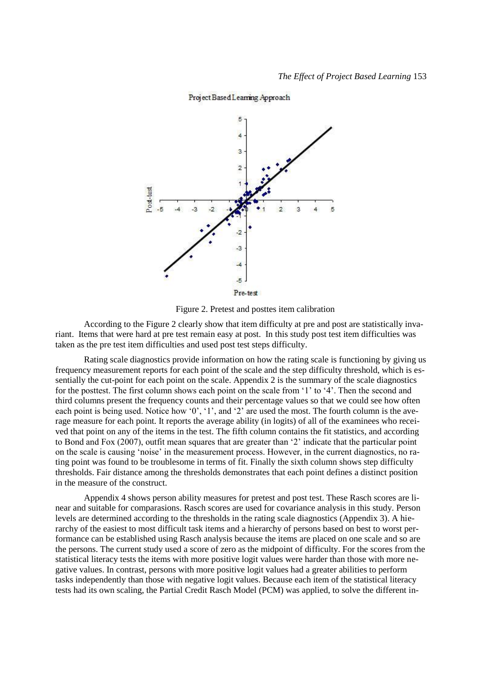

#### Project Based Learning Approach

Figure 2. Pretest and posttes item calibration

According to the Figure 2 clearly show that item difficulty at pre and post are statistically invariant. Items that were hard at pre test remain easy at post. In this study post test item difficulties was taken as the pre test item difficulties and used post test steps difficulty.

Rating scale diagnostics provide information on how the rating scale is functioning by giving us frequency measurement reports for each point of the scale and the step difficulty threshold, which is essentially the cut-point for each point on the scale. Appendix 2 is the summary of the scale diagnostics for the posttest. The first column shows each point on the scale from '1' to '4'. Then the second and third columns present the frequency counts and their percentage values so that we could see how often each point is being used. Notice how '0', '1', and '2' are used the most. The fourth column is the average measure for each point. It reports the average ability (in logits) of all of the examinees who received that point on any of the items in the test. The fifth column contains the fit statistics, and according to Bond and Fox (2007), outfit mean squares that are greater than '2' indicate that the particular point on the scale is causing 'noise' in the measurement process. However, in the current diagnostics, no rating point was found to be troublesome in terms of fit. Finally the sixth column shows step difficulty thresholds. Fair distance among the thresholds demonstrates that each point defines a distinct position in the measure of the construct.

Appendix 4 shows person ability measures for pretest and post test. These Rasch scores are linear and suitable for comparasions. Rasch scores are used for covariance analysis in this study. Person levels are determined according to the thresholds in the rating scale diagnostics (Appendix 3). A hierarchy of the easiest to most difficult task items and a hierarchy of persons based on best to worst performance can be established using Rasch analysis because the items are placed on one scale and so are the persons. The current study used a score of zero as the midpoint of difficulty. For the scores from the statistical literacy tests the items with more positive logit values were harder than those with more negative values. In contrast, persons with more positive logit values had a greater abilities to perform tasks independently than those with negative logit values. Because each item of the statistical literacy tests had its own scaling, the Partial Credit Rasch Model (PCM) was applied, to solve the different in-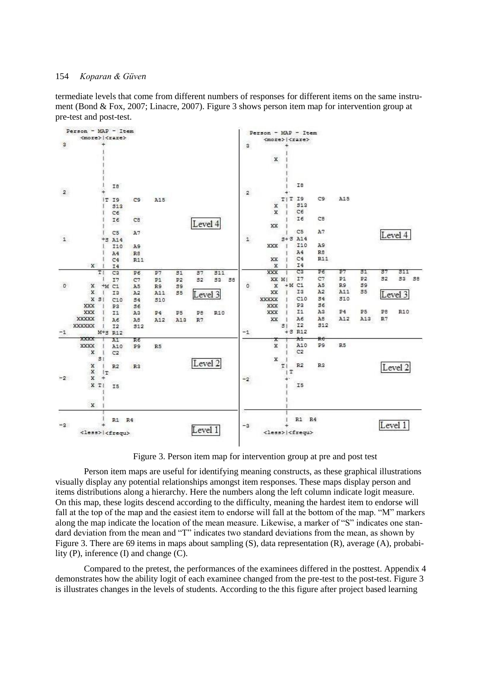termediate levels that come from different numbers of responses for different items on the same instrument (Bond & Fox, 2007; Linacre, 2007). Figure 3 shows person item map for intervention group at pre-test and post-test.



Figure 3. Person item map for intervention group at pre and post test

Person item maps are useful for identifying meaning constructs, as these graphical illustrations visually display any potential relationships amongst item responses. These maps display person and items distributions along a hierarchy. Here the numbers along the left column indicate logit measure. On this map, these logits descend according to the difficulty, meaning the hardest item to endorse will fall at the top of the map and the easiest item to endorse will fall at the bottom of the map. "M" markers along the map indicate the location of the mean measure. Likewise, a marker of "S" indicates one standard deviation from the mean and "T" indicates two standard deviations from the mean, as shown by Figure 3. There are 69 items in maps about sampling (S), data representation (R), average (A), probability (P), inference (I) and change (C).

Compared to the pretest, the performances of the examinees differed in the posttest. Appendix 4 demonstrates how the ability logit of each examinee changed from the pre-test to the post-test. Figure 3 is illustrates changes in the levels of students. According to the this figure after project based learning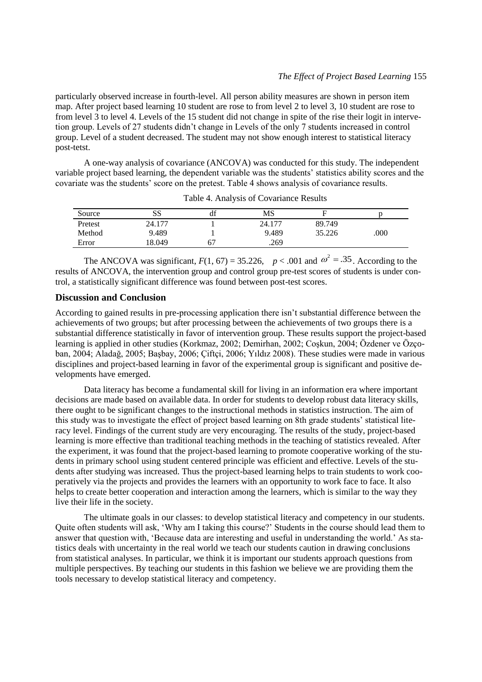particularly observed increase in fourth-level. All person ability measures are shown in person item map. After project based learning 10 student are rose to from level 2 to level 3, 10 student are rose to from level 3 to level 4. Levels of the 15 student did not change in spite of the rise their logit in intervetion group. Levels of 27 students didn't change in Levels of the only 7 students increased in control group. Level of a student decreased. The student may not show enough interest to statistical literacy post-tetst.

A one-way analysis of covariance (ANCOVA) was conducted for this study. The independent variable project based learning, the dependent variable was the students' statistics ability scores and the covariate was the students' score on the pretest. Table 4 shows analysis of covariance results.

| Source  | SS     | df | MS        |        |      |
|---------|--------|----|-----------|--------|------|
| Pretest | 24.177 |    | 77<br>24. | 89.749 |      |
| Method  | 9.489  |    | 9.489     | 35.226 | .000 |
| Error   | 18.049 | б. | .269      |        |      |

Table 4. Analysis of Covariance Results

The ANCOVA was significant,  $F(1, 67) = 35.226$ ,  $p < .001$  and  $\omega^2 = .35$ . According to the results of ANCOVA, the intervention group and control group pre-test scores of students is under control, a statistically significant difference was found between post-test scores.

### **Discussion and Conclusion**

According to gained results in pre-processing application there isn't substantial difference between the achievements of two groups; but after processing between the achievements of two groups there is a substantial difference statistically in favor of intervention group. These results support the project-based learning is applied in other studies (Korkmaz, 2002; Demirhan, 2002; Coşkun, 2004; Özdener ve Özçoban, 2004; Aladağ, 2005; Başbay, 2006; Çiftçi, 2006; Yıldız 2008). These studies were made in various disciplines and project-based learning in favor of the experimental group is significant and positive developments have emerged.

Data literacy has become a fundamental skill for living in an information era where important decisions are made based on available data. In order for students to develop robust data literacy skills, there ought to be significant changes to the instructional methods in statistics instruction. The aim of this study was to investigate the effect of project based learning on 8th grade students' statistical literacy level. Findings of the current study are very encouraging. The results of the study, project-based learning is more effective than traditional teaching methods in the teaching of statistics revealed. After the experiment, it was found that the project-based learning to promote cooperative working of the students in primary school using student centered principle was efficient and effective. Levels of the students after studying was increased. Thus the project-based learning helps to train students to work cooperatively via the projects and provides the learners with an opportunity to work face to face. It also helps to create better cooperation and interaction among the learners, which is similar to the way they live their life in the society.

The ultimate goals in our classes: to develop statistical literacy and competency in our students. Quite often students will ask, 'Why am I taking this course?' Students in the course should lead them to answer that question with, 'Because data are interesting and useful in understanding the world.' As statistics deals with uncertainty in the real world we teach our students caution in drawing conclusions from statistical analyses. In particular, we think it is important our students approach questions from multiple perspectives. By teaching our students in this fashion we believe we are providing them the tools necessary to develop statistical literacy and competency.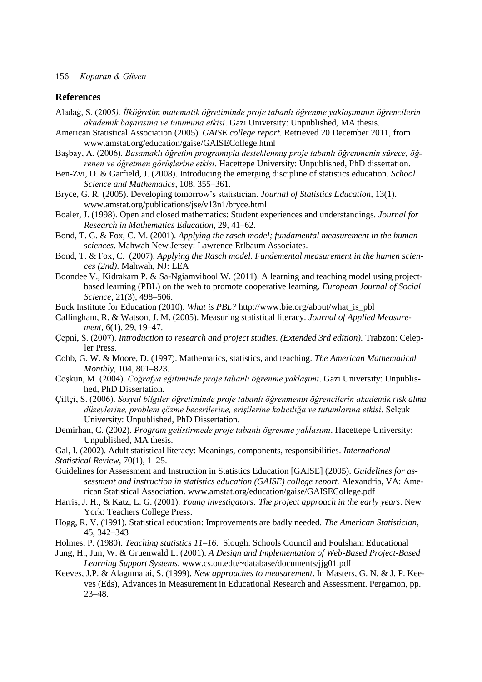#### **References**

- Aladağ, S. (2005*). İlköğretim matematik öğretiminde proje tabanlı öğrenme yaklaşımının öğrencilerin akademik başarısına ve tutumuna etkisi*. Gazi University: Unpublished, MA thesis.
- American Statistical Association (2005). *GAISE college report.* Retrieved 20 December 2011, from [www.amstat.org/education/gaise/GAISECollege.html](http://www.amstat.org/education/gaise/GAISECollege.html)
- Başbay, A. (2006). *Basamaklı öğretim programıyla desteklenmiş proje tabanlı öğrenmenin sürece, öğrenen ve öğretmen görüşlerine etkisi*. Hacettepe University: Unpublished, PhD dissertation.
- Ben-Zvi, D. & Garfield, J. (2008). Introducing the emerging discipline of statistics education. *School Science and Mathematics*, 108, 355–361.
- Bryce, G. R. (2005). Developing tomorrow's statistician. *Journal of Statistics Education*, 13(1). [www.amstat.org/publications/jse/v13n1/bryce.html](http://www.amstat.org/publications/jse/v13n1/bryce.html)
- Boaler, J. (1998). Open and closed mathematics: Student experiences and understandings. *Journal for Research in Mathematics Education,* 29, 41–62.
- Bond, T. G. & Fox, C. M. (2001). *Applying the rasch model; fundamental measurement in the human sciences.* Mahwah New Jersey: Lawrence Erlbaum Associates.
- Bond, T. & Fox, C. (2007). *Applying the Rasch model. Fundemental measurement in the humen sciences (2nd)*. Mahwah, NJ: LEA
- Boondee V., Kidrakarn P. & Sa-Ngiamvibool W. (2011). A learning and teaching model using projectbased learning (PBL) on the web to promote cooperative learning. *European Journal of Social Science,* 21(3), 498–506.

Buck Institute for Education (2010). *What is PBL?* [http://www.bie.org/about/what\\_is\\_pbl](http://www.bie.org/about/what_is_pbl)

- Callingham, R. & Watson, J. M. (2005). Measuring statistical literacy. *Journal of Applied Measurement*, 6(1), 29, 19–47.
- Çepni, S. (2007). *Introduction to research and project studies. (Extended 3rd edition).* Trabzon: Celepler Press.
- Cobb, G. W. & Moore, D. (1997). Mathematics, statistics, and teaching. *The American Mathematical Monthly,* 104, 801–823.
- Coşkun, M. (2004). *Coğrafya eğitiminde proje tabanlı öğrenme yaklaşımı*. Gazi University: Unpublished, PhD Dissertation.
- Çiftçi, S. (2006). *Sosyal bilgiler öğretiminde proje tabanlı öğrenmenin öğrencilerin akademik risk alma düzeylerine, problem çözme becerilerine, erişilerine kalıcılığa ve tutumlarına etkisi*. Selçuk University: Unpublished, PhD Dissertation.
- Demirhan, C. (2002). *Program gelistirmede proje tabanlı ögrenme yaklasımı*. Hacettepe University: Unpublished, MA thesis.
- Gal, I. (2002). Adult statistical literacy: Meanings, components, responsibilities. *International Statistical Review,* 70(1), 1–25.
- Guidelines for Assessment and Instruction in Statistics Education [GAISE] (2005). *Guidelines for assessment and instruction in statistics education (GAISE) college report.* Alexandria, VA: American Statistical Association. [www.amstat.org/education/gaise/GAISECollege.pdf](http://www.amstat.org/education/gaise/GAISECollege.pdf)
- Harris, J. H., & Katz, L. G. (2001). *Young investigators: The project approach in the early years*. New York: Teachers College Press.
- Hogg, R. V. (1991). Statistical education: Improvements are badly needed. *The American Statistician*, 45, 342–343
- Holmes, P. (1980). *Teaching statistics 11–16.* Slough: Schools Council and Foulsham Educational
- Jung, H., Jun, W. & Gruenwald L. (2001). *A Design and Implementation of Web-Based Project-Based Learning Support Systems*. [www.cs.ou.edu/~database/documents/jjg01.pdf](http://www.cs.ou.edu/~database/documents/jjg01.pdf)
- Keeves, J.P. & Alagumalai, S. (1999). *New approaches to measurement*. In Masters, G. N. & J. P. Keeves (Eds), Advances in Measurement in Educational Research and Assessment. Pergamon, pp. 23–48.